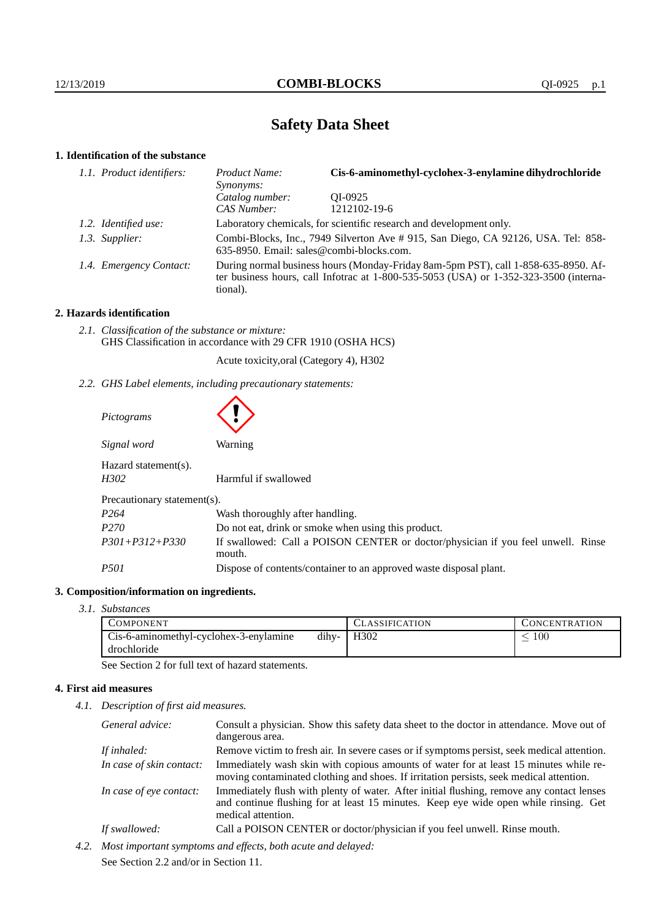# **Safety Data Sheet**

# **1. Identification of the substance**

| 1.1. Product identifiers: | Product Name:<br>Synonyms:                                                                                                                                                                  | Cis-6-aminomethyl-cyclohex-3-enylamine dihydrochloride |
|---------------------------|---------------------------------------------------------------------------------------------------------------------------------------------------------------------------------------------|--------------------------------------------------------|
|                           | Catalog number:                                                                                                                                                                             | OI-0925                                                |
|                           | CAS Number:                                                                                                                                                                                 | 1212102-19-6                                           |
| 1.2. Identified use:      | Laboratory chemicals, for scientific research and development only.                                                                                                                         |                                                        |
| 1.3. Supplier:            | Combi-Blocks, Inc., 7949 Silverton Ave #915, San Diego, CA 92126, USA. Tel: 858-<br>635-8950. Email: sales@combi-blocks.com.                                                                |                                                        |
| 1.4. Emergency Contact:   | During normal business hours (Monday-Friday 8am-5pm PST), call 1-858-635-8950. Af-<br>ter business hours, call Infotrac at $1-800-535-5053$ (USA) or $1-352-323-3500$ (interna-<br>tional). |                                                        |

# **2. Hazards identification**

*2.1. Classification of the substance or mixture:* GHS Classification in accordance with 29 CFR 1910 (OSHA HCS)

Acute toxicity,oral (Category 4), H302

*2.2. GHS Label elements, including precautionary statements:*

| Pictograms                   |                                                                                            |  |  |
|------------------------------|--------------------------------------------------------------------------------------------|--|--|
| Signal word                  | Warning                                                                                    |  |  |
| Hazard statement(s).<br>H302 | Harmful if swallowed                                                                       |  |  |
| Precautionary statement(s).  |                                                                                            |  |  |
| P <sub>264</sub>             | Wash thoroughly after handling.                                                            |  |  |
| P <sub>270</sub>             | Do not eat, drink or smoke when using this product.                                        |  |  |
| $P301 + P312 + P330$         | If swallowed: Call a POISON CENTER or doctor/physician if you feel unwell. Rinse<br>mouth. |  |  |
| <i>P501</i>                  | Dispose of contents/container to an approved waste disposal plant.                         |  |  |

# **3. Composition/information on ingredients.**

*3.1. Substances*

| <b>COMPONENT</b>                       |       | <b>CLASSIFICATION</b> | <b>CONCENTRATION</b> |
|----------------------------------------|-------|-----------------------|----------------------|
| Cis-6-aminomethyl-cyclohex-3-enylamine | dihy- | H <sub>3</sub> 02     | $100\,$              |
| drochloride                            |       |                       |                      |

See Section 2 for full text of hazard statements.

# **4. First aid measures**

*4.1. Description of first aid measures.*

|      | General advice:                                              | Consult a physician. Show this safety data sheet to the doctor in attendance. Move out of<br>dangerous area.                                                                                            |  |
|------|--------------------------------------------------------------|---------------------------------------------------------------------------------------------------------------------------------------------------------------------------------------------------------|--|
|      | If inhaled:                                                  | Remove victim to fresh air. In severe cases or if symptoms persist, seek medical attention.                                                                                                             |  |
|      | In case of skin contact:                                     | Immediately wash skin with copious amounts of water for at least 15 minutes while re-<br>moving contaminated clothing and shoes. If irritation persists, seek medical attention.                        |  |
|      | In case of eye contact:                                      | Immediately flush with plenty of water. After initial flushing, remove any contact lenses<br>and continue flushing for at least 15 minutes. Keep eye wide open while rinsing. Get<br>medical attention. |  |
|      | If swallowed:                                                | Call a POISON CENTER or doctor/physician if you feel unwell. Rinse mouth.                                                                                                                               |  |
| 4.2. | Most important symptoms and effects, both acute and delayed: |                                                                                                                                                                                                         |  |
|      |                                                              |                                                                                                                                                                                                         |  |

See Section 2.2 and/or in Section 11.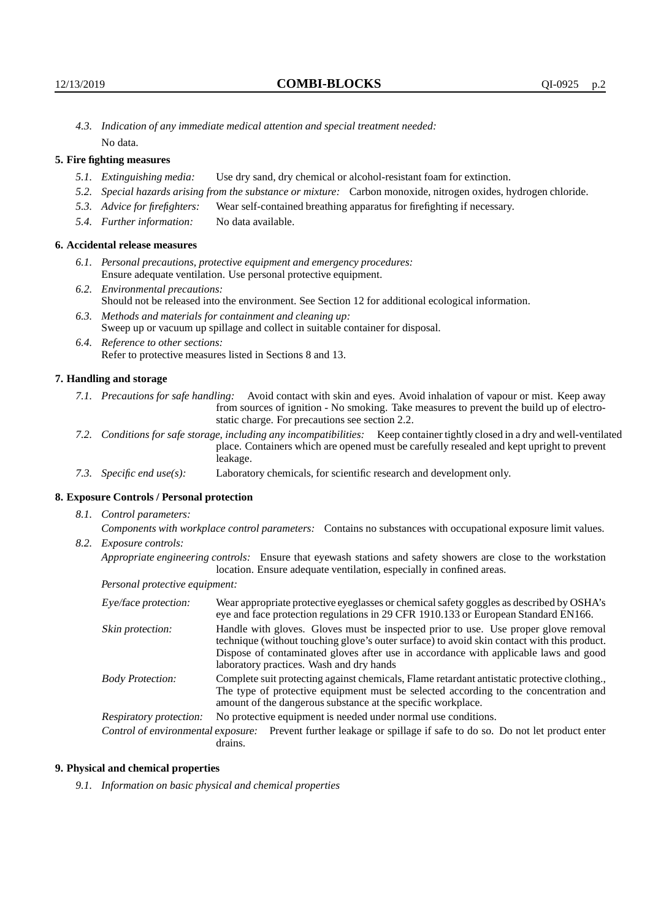*4.3. Indication of any immediate medical attention and special treatment needed:* No data.

# **5. Fire fighting measures**

- *5.1. Extinguishing media:* Use dry sand, dry chemical or alcohol-resistant foam for extinction.
- *5.2. Special hazards arising from the substance or mixture:* Carbon monoxide, nitrogen oxides, hydrogen chloride.
- *5.3. Advice for firefighters:* Wear self-contained breathing apparatus for firefighting if necessary.
- *5.4. Further information:* No data available.

# **6. Accidental release measures**

- *6.1. Personal precautions, protective equipment and emergency procedures:* Ensure adequate ventilation. Use personal protective equipment.
- *6.2. Environmental precautions:* Should not be released into the environment. See Section 12 for additional ecological information.
- *6.3. Methods and materials for containment and cleaning up:* Sweep up or vacuum up spillage and collect in suitable container for disposal.
- *6.4. Reference to other sections:* Refer to protective measures listed in Sections 8 and 13.

#### **7. Handling and storage**

- *7.1. Precautions for safe handling:* Avoid contact with skin and eyes. Avoid inhalation of vapour or mist. Keep away from sources of ignition - No smoking. Take measures to prevent the build up of electrostatic charge. For precautions see section 2.2.
- *7.2. Conditions for safe storage, including any incompatibilities:* Keep container tightly closed in a dry and well-ventilated place. Containers which are opened must be carefully resealed and kept upright to prevent leakage.
- *7.3. Specific end use(s):* Laboratory chemicals, for scientific research and development only.

#### **8. Exposure Controls / Personal protection**

*8.1. Control parameters:*

*Components with workplace control parameters:* Contains no substances with occupational exposure limit values. *8.2. Exposure controls:*

*Appropriate engineering controls:* Ensure that eyewash stations and safety showers are close to the workstation location. Ensure adequate ventilation, especially in confined areas.

*Personal protective equipment:*

| Eye/face protection:    | Wear appropriate protective eyeglasses or chemical safety goggles as described by OSHA's<br>eye and face protection regulations in 29 CFR 1910.133 or European Standard EN166.                                                                                                                                         |  |  |
|-------------------------|------------------------------------------------------------------------------------------------------------------------------------------------------------------------------------------------------------------------------------------------------------------------------------------------------------------------|--|--|
| Skin protection:        | Handle with gloves. Gloves must be inspected prior to use. Use proper glove removal<br>technique (without touching glove's outer surface) to avoid skin contact with this product.<br>Dispose of contaminated gloves after use in accordance with applicable laws and good<br>laboratory practices. Wash and dry hands |  |  |
| <b>Body Protection:</b> | Complete suit protecting against chemicals, Flame retardant antistatic protective clothing.<br>The type of protective equipment must be selected according to the concentration and<br>amount of the dangerous substance at the specific workplace.                                                                    |  |  |
| Respiratory protection: | No protective equipment is needed under normal use conditions.                                                                                                                                                                                                                                                         |  |  |
|                         | Control of environmental exposure: Prevent further leakage or spillage if safe to do so. Do not let product enter<br>drains.                                                                                                                                                                                           |  |  |

#### **9. Physical and chemical properties**

*9.1. Information on basic physical and chemical properties*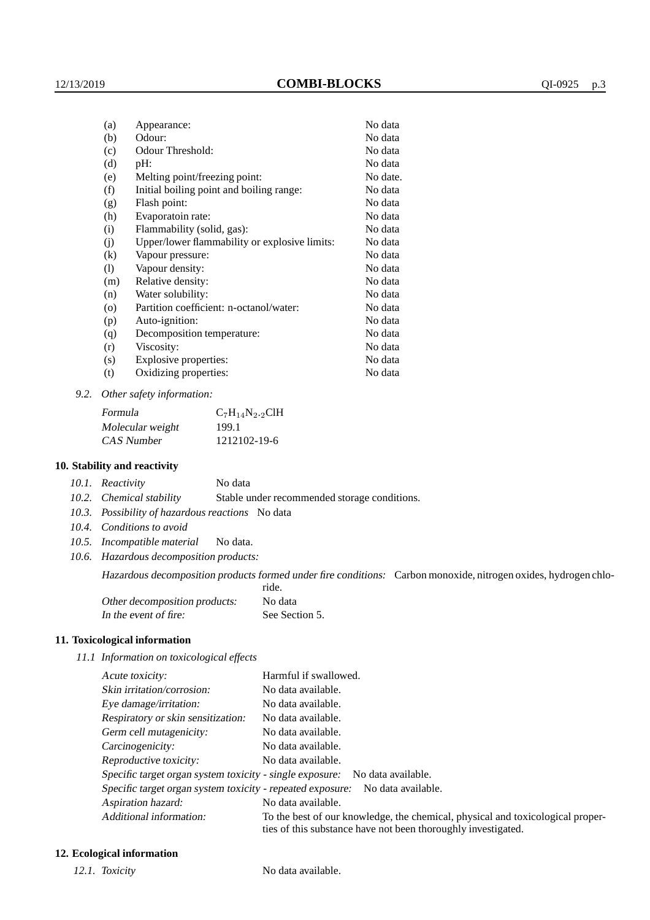| (a)     | Appearance:                                   | No data  |
|---------|-----------------------------------------------|----------|
| (b)     | Odour:                                        | No data  |
| (c)     | Odour Threshold:                              | No data  |
| (d)     | pH:                                           | No data  |
| (e)     | Melting point/freezing point:                 | No date. |
| (f)     | Initial boiling point and boiling range:      | No data  |
| (g)     | Flash point:                                  | No data  |
| (h)     | Evaporatoin rate:                             | No data  |
| (i)     | Flammability (solid, gas):                    | No data  |
| (j)     | Upper/lower flammability or explosive limits: | No data  |
| (k)     | Vapour pressure:                              | No data  |
| (1)     | Vapour density:                               | No data  |
| (m)     | Relative density:                             | No data  |
| (n)     | Water solubility:                             | No data  |
| $\circ$ | Partition coefficient: n-octanol/water:       | No data  |
| (p)     | Auto-ignition:                                | No data  |
| (q)     | Decomposition temperature:                    | No data  |
| (r)     | Viscosity:                                    | No data  |
| (s)     | Explosive properties:                         | No data  |
| (t)     | Oxidizing properties:                         | No data  |
|         |                                               |          |

*9.2. Other safety information:*

| Formula          | $C_7H_{14}N_{2.2}CH$ |
|------------------|----------------------|
| Molecular weight | 199.1                |
| CAS Number       | 1212102-19-6         |

### **10. Stability and reactivity**

|  | 10.1. Reactivity | No data |
|--|------------------|---------|
|--|------------------|---------|

*10.2. Chemical stability* Stable under recommended storage conditions.

- *10.3. Possibility of hazardous reactions* No data
- *10.4. Conditions to avoid*
- *10.5. Incompatible material* No data.
- *10.6. Hazardous decomposition products:*

Hazardous decomposition products formed under fire conditions: Carbon monoxide, nitrogen oxides, hydrogen chlo-

|                               | ride.          |
|-------------------------------|----------------|
| Other decomposition products: | No data        |
| In the event of fire:         | See Section 5. |

#### **11. Toxicological information**

*11.1 Information on toxicological effects*

| Acute toxicity:                                            | Harmful if swallowed.                                                                                                                           |
|------------------------------------------------------------|-------------------------------------------------------------------------------------------------------------------------------------------------|
| Skin irritation/corrosion:                                 | No data available.                                                                                                                              |
| Eye damage/irritation:                                     | No data available.                                                                                                                              |
| Respiratory or skin sensitization:                         | No data available.                                                                                                                              |
| Germ cell mutagenicity:                                    | No data available.                                                                                                                              |
| Carcinogenicity:                                           | No data available.                                                                                                                              |
| Reproductive toxicity:                                     | No data available.                                                                                                                              |
| Specific target organ system toxicity - single exposure:   | No data available.                                                                                                                              |
| Specific target organ system toxicity - repeated exposure: | No data available.                                                                                                                              |
| Aspiration hazard:                                         | No data available.                                                                                                                              |
| Additional information:                                    | To the best of our knowledge, the chemical, physical and toxicological proper-<br>ties of this substance have not been thoroughly investigated. |

### **12. Ecological information**

*12.1. Toxicity* No data available.